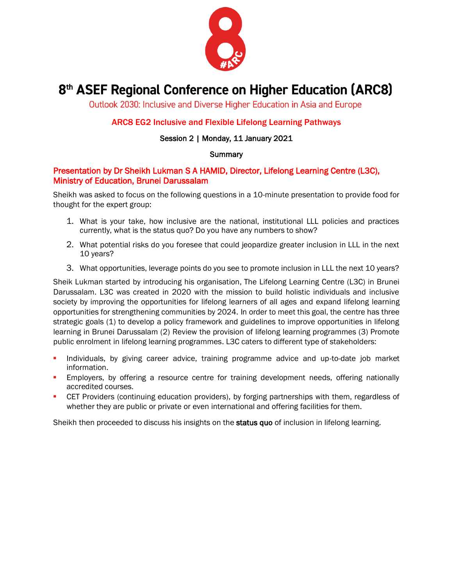

# 8<sup>th</sup> ASEF Regional Conference on Higher Education (ARC8)

Outlook 2030: Inclusive and Diverse Higher Education in Asia and Europe

# ARC8 EG2 Inclusive and Flexible Lifelong Learning Pathways

## Session 2 | Monday, 11 January 2021

#### **Summary**

# Presentation by Dr Sheikh Lukman S A HAMID, Director, Lifelong Learning Centre (L3C), Ministry of Education, Brunei Darussalam

Sheikh was asked to focus on the following questions in a 10-minute presentation to provide food for thought for the expert group:

- 1. What is your take, how inclusive are the national, institutional LLL policies and practices currently, what is the status quo? Do you have any numbers to show?
- 2. What potential risks do you foresee that could jeopardize greater inclusion in LLL in the next 10 years?
- 3. What opportunities, leverage points do you see to promote inclusion in LLL the next 10 years?

Sheik Lukman started by introducing his organisation, The Lifelong Learning Centre (L3C) in Brunei Darussalam. L3C was created in 2020 with the mission to build holistic individuals and inclusive society by improving the opportunities for lifelong learners of all ages and expand lifelong learning opportunities for strengthening communities by 2024. In order to meet this goal, the centre has three strategic goals (1) to develop a policy framework and guidelines to improve opportunities in lifelong learning in Brunei Darussalam (2) Review the provision of lifelong learning programmes (3) Promote public enrolment in lifelong learning programmes. L3C caters to different type of stakeholders:

- Individuals, by giving career advice, training programme advice and up-to-date job market information.
- **Employers, by offering a resource centre for training development needs, offering nationally** accredited courses.
- CET Providers (continuing education providers), by forging partnerships with them, regardless of whether they are public or private or even international and offering facilities for them.

Sheikh then proceeded to discuss his insights on the status quo of inclusion in lifelong learning.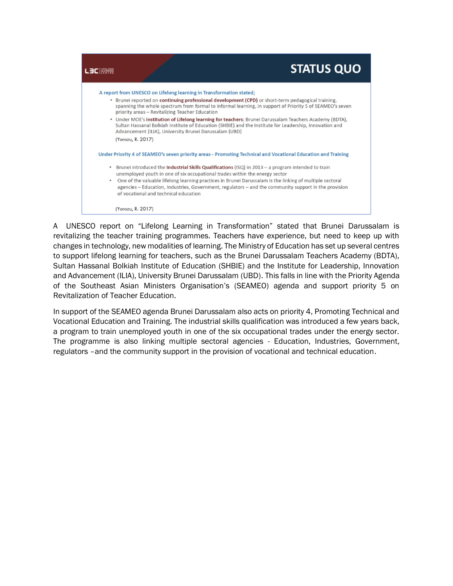

A UNESCO report on "Lifelong Learning in Transformation" stated that Brunei Darussalam is revitalizing the teacher training programmes. Teachers have experience, but need to keep up with changes in technology, new modalities of learning. The Ministry of Education has set up several centres to support lifelong learning for teachers, such as the Brunei Darussalam Teachers Academy (BDTA), Sultan Hassanal Bolkiah Institute of Education (SHBIE) and the Institute for Leadership, Innovation and Advancement (ILIA), University Brunei Darussalam (UBD). This falls in line with the Priority Agenda of the Southeast Asian Ministers Organisation's (SEAMEO) agenda and support priority 5 on Revitalization of Teacher Education.

In support of the SEAMEO agenda Brunei Darussalam also acts on priority 4, Promoting Technical and Vocational Education and Training. The industrial skills qualification was introduced a few years back, a program to train unemployed youth in one of the six occupational trades under the energy sector. The programme is also linking multiple sectoral agencies - Education, Industries, Government, regulators –and the community support in the provision of vocational and technical education.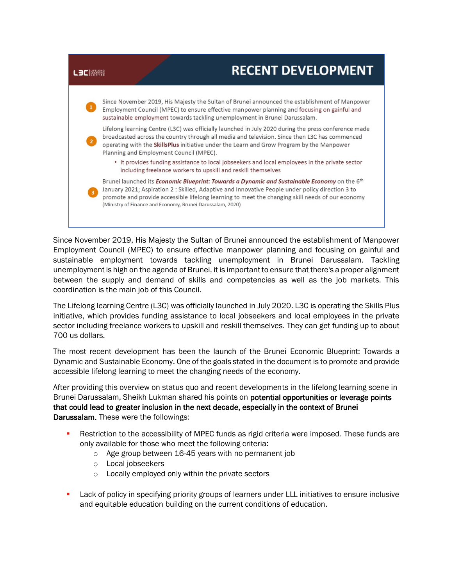

Since November 2019, His Majesty the Sultan of Brunei announced the establishment of Manpower Employment Council (MPEC) to ensure effective manpower planning and focusing on gainful and sustainable employment towards tackling unemployment in Brunei Darussalam. Tackling unemployment is high on the agenda of Brunei, it is important to ensure that there's a proper alignment between the supply and demand of skills and competencies as well as the job markets. This coordination is the main job of this Council.

The Lifelong learning Centre (L3C) was officially launched in July 2020. L3C is operating the Skills Plus initiative, which provides funding assistance to local jobseekers and local employees in the private sector including freelance workers to upskill and reskill themselves. They can get funding up to about 700 us dollars.

The most recent development has been the launch of the Brunei Economic Blueprint: Towards a Dynamic and Sustainable Economy. One of the goals stated in the document is to promote and provide accessible lifelong learning to meet the changing needs of the economy.

After providing this overview on status quo and recent developments in the lifelong learning scene in Brunei Darussalam, Sheikh Lukman shared his points on **potential opportunities or leverage points** that could lead to greater inclusion in the next decade, especially in the context of Brunei Darussalam. These were the followings:

- Restriction to the accessibility of MPEC funds as rigid criteria were imposed. These funds are only available for those who meet the following criteria:
	- o Age group between 16-45 years with no permanent job
	- o Local jobseekers
	- o Locally employed only within the private sectors
- Lack of policy in specifying priority groups of learners under LLL initiatives to ensure inclusive and equitable education building on the current conditions of education.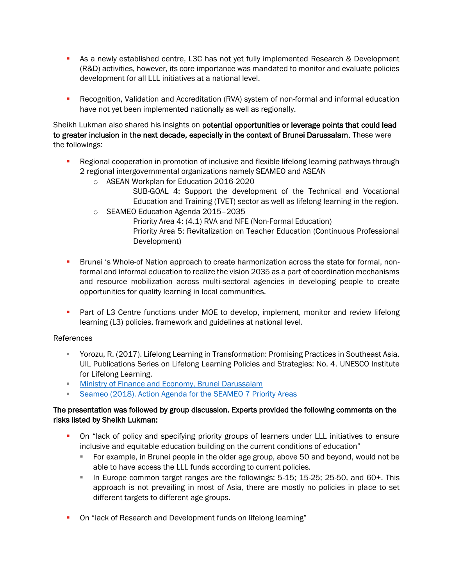- **EXECT** As a newly established centre, L3C has not yet fully implemented Research & Development (R&D) activities, however, its core importance was mandated to monitor and evaluate policies development for all LLL initiatives at a national level.
- **•** Recognition, Validation and Accreditation (RVA) system of non-formal and informal education have not yet been implemented nationally as well as regionally.

Sheikh Lukman also shared his insights on potential opportunities or leverage points that could lead to greater inclusion in the next decade, especially in the context of Brunei Darussalam. These were the followings:

- Regional cooperation in promotion of inclusive and flexible lifelong learning pathways through 2 regional intergovernmental organizations namely SEAMEO and ASEAN
	- o ASEAN Workplan for Education 2016-2020
		- SUB-GOAL 4: Support the development of the Technical and Vocational Education and Training (TVET) sector as well as lifelong learning in the region.
	- o SEAMEO Education Agenda 2015–2035
		- Priority Area 4: (4.1) RVA and NFE (Non-Formal Education) Priority Area 5: Revitalization on Teacher Education (Continuous Professional Development)
- **•** Brunei 's Whole-of Nation approach to create harmonization across the state for formal, nonformal and informal education to realize the vision 2035 as a part of coordination mechanisms and resource mobilization across multi-sectoral agencies in developing people to create opportunities for quality learning in local communities.
- Part of L3 Centre functions under MOE to develop, implement, monitor and review lifelong learning (L3) policies, framework and guidelines at national level.

## References

- Yorozu, R. (2017). Lifelong Learning in Transformation: Promising Practices in Southeast Asia. UIL Publications Series on Lifelong Learning Policies and Strategies: No. 4. UNESCO Institute for Lifelong Learning.
- **INITY [Ministry of Finance and Economy, Brunei Darussalam](https://www.mofe.gov.bn/SitePages/Home.aspx)**
- **Exameo (2018). Action Agenda for the SEAMEO 7 Priority Areas**

## The presentation was followed by group discussion. Experts provided the following comments on the risks listed by Sheikh Lukman:

- On "lack of policy and specifying priority groups of learners under LLL initiatives to ensure inclusive and equitable education building on the current conditions of education"
	- For example, in Brunei people in the older age group, above 50 and beyond, would not be able to have access the LLL funds according to current policies.
	- In Europe common target ranges are the followings: 5-15; 15-25; 25-50, and 60+. This approach is not prevailing in most of Asia, there are mostly no policies in place to set different targets to different age groups.
- On "lack of Research and Development funds on lifelong learning"